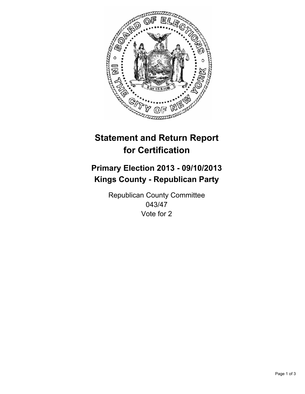

# **Statement and Return Report for Certification**

## **Primary Election 2013 - 09/10/2013 Kings County - Republican Party**

Republican County Committee 043/47 Vote for 2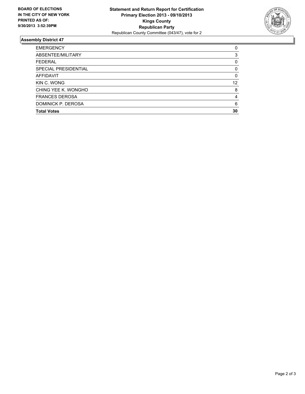

### **Assembly District 47**

| <b>EMERGENCY</b>      | 0  |
|-----------------------|----|
| ABSENTEE/MILITARY     | 3  |
| <b>FEDERAL</b>        | 0  |
| SPECIAL PRESIDENTIAL  | 0  |
| <b>AFFIDAVIT</b>      | 0  |
| KIN C. WONG           | 12 |
| CHING YEE K. WONGHO   | 8  |
| <b>FRANCES DEROSA</b> | 4  |
| DOMINICK P. DEROSA    | 6  |
| <b>Total Votes</b>    | 30 |